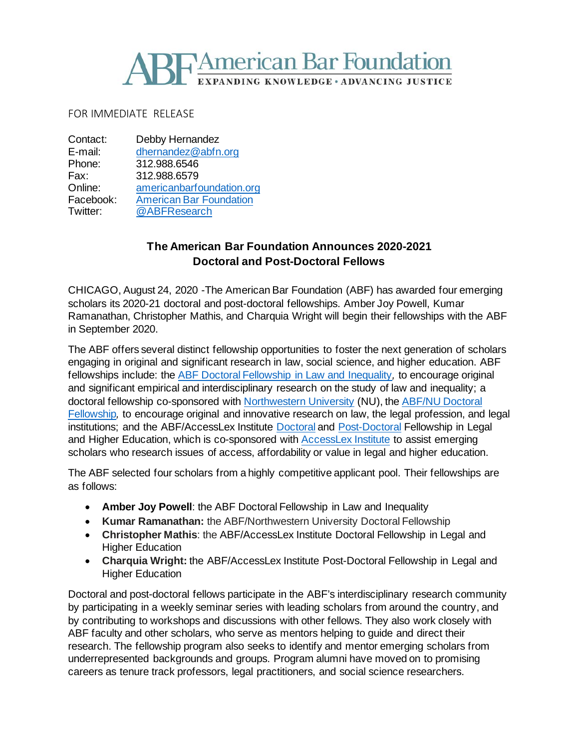## **TAmerican Bar Foundation** EXPANDING KNOWLEDGE · ADVANCING JUSTICE

FOR IMMEDIATE RELEASE

| Contact:  | Debby Hernandez                |
|-----------|--------------------------------|
| E-mail:   | dhernandez@abfn.org            |
| Phone:    | 312.988.6546                   |
| Fax:      | 312.988.6579                   |
| Online:   | americanbarfoundation.org      |
| Facebook: | <b>American Bar Foundation</b> |
| Twitter:  | @ABFResearch                   |

## **The American Bar Foundation Announces 2020-2021 Doctoral and Post-Doctoral Fellows**

CHICAGO, August 24, 2020 -The American Bar Foundation (ABF) has awarded four emerging scholars its 2020-21 doctoral and post-doctoral fellowships. Amber Joy Powell, Kumar Ramanathan, Christopher Mathis, and Charquia Wright will begin their fellowships with the ABF in September 2020.

The ABF offers several distinct fellowship opportunities to foster the next generation of scholars engaging in original and significant research in law, social science, and higher education. ABF fellowships include: the [ABF Doctoral Fellowship in Law and Inequality](http://www.americanbarfoundation.org/research/Fellowshipopportunities/LawAndInequalityFellowshipsProgram.html)*,* to encourage original and significant empirical and interdisciplinary research on the study of law and inequality; a doctoral fellowship co-sponsored with [Northwestern University](https://www.northwestern.edu/) (NU), the [ABF/NU Doctoral](http://www.americanbarfoundation.org/research/Fellowshipopportunities/ABF_Northwestern_University_Doctoral_Fellowship_Program.html)  [Fellowship](http://www.americanbarfoundation.org/research/Fellowshipopportunities/ABF_Northwestern_University_Doctoral_Fellowship_Program.html)*,* to encourage original and innovative research on law, the legal profession, and legal institutions; and the ABF/AccessLex Institute [Doctoral](http://www.americanbarfoundation.org/research/Fellowshipopportunities/ABF_AGI_Doctoral_Fellowship_Program_in_Legal___Higher_Education.html) and [Post-Doctoral](http://www.americanbarfoundation.org/research/Fellowshipopportunities/ABF_AccessLex_Institute_Postdoctoral_Fellowship_Program_in_Legal___Higher_Education.html) Fellowship in Legal and Higher Education, which is co-sponsored with [AccessLex Institute](https://www.accesslex.org/) to assist emerging scholars who research issues of access, affordability or value in legal and higher education.

The ABF selected four scholars from a highly competitive applicant pool. Their fellowships are as follows:

- **Amber Joy Powell**: the ABF Doctoral Fellowship in Law and Inequality
- **Kumar Ramanathan:** the ABF/Northwestern University Doctoral Fellowship
- **Christopher Mathis**: the ABF/AccessLex Institute Doctoral Fellowship in Legal and Higher Education
- **Charquia Wright:** the ABF/AccessLex Institute Post-Doctoral Fellowship in Legal and Higher Education

Doctoral and post-doctoral fellows participate in the ABF's interdisciplinary research community by participating in a weekly seminar series with leading scholars from around the country, and by contributing to workshops and discussions with other fellows. They also work closely with ABF faculty and other scholars, who serve as mentors helping to guide and direct their research. The fellowship program also seeks to identify and mentor emerging scholars from underrepresented backgrounds and groups. Program alumni have moved on to promising careers as tenure track professors, legal practitioners, and social science researchers.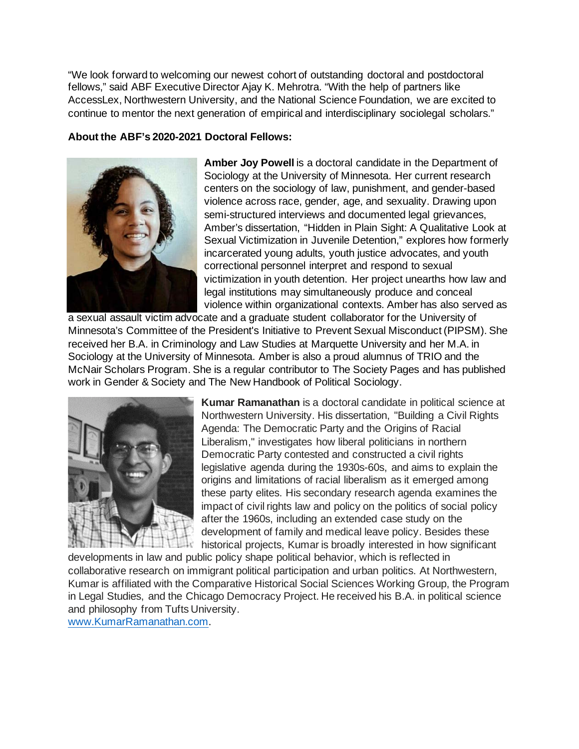"We look forward to welcoming our newest cohort of outstanding doctoral and postdoctoral fellows," said ABF Executive Director Ajay K. Mehrotra. "With the help of partners like AccessLex, Northwestern University, and the National Science Foundation, we are excited to continue to mentor the next generation of empirical and interdisciplinary sociolegal scholars."

## **About the ABF's 2020-2021 Doctoral Fellows:**



**Amber Joy Powell** is a doctoral candidate in the Department of Sociology at the University of Minnesota. Her current research centers on the sociology of law, punishment, and gender-based violence across race, gender, age, and sexuality. Drawing upon semi-structured interviews and documented legal grievances, Amber's dissertation, "Hidden in Plain Sight: A Qualitative Look at Sexual Victimization in Juvenile Detention," explores how formerly incarcerated young adults, youth justice advocates, and youth correctional personnel interpret and respond to sexual victimization in youth detention. Her project unearths how law and legal institutions may simultaneously produce and conceal violence within organizational contexts. Amber has also served as

a sexual assault victim advocate and a graduate student collaborator for the University of Minnesota's Committee of the President's Initiative to Prevent Sexual Misconduct (PIPSM). She received her B.A. in Criminology and Law Studies at Marquette University and her M.A. in Sociology at the University of Minnesota. Amber is also a proud alumnus of TRIO and the McNair Scholars Program. She is a regular contributor to The Society Pages and has published work in Gender & Society and The New Handbook of Political Sociology.



**Kumar Ramanathan** is a doctoral candidate in political science at Northwestern University. His dissertation, "Building a Civil Rights Agenda: The Democratic Party and the Origins of Racial Liberalism," investigates how liberal politicians in northern Democratic Party contested and constructed a civil rights legislative agenda during the 1930s-60s, and aims to explain the origins and limitations of racial liberalism as it emerged among these party elites. His secondary research agenda examines the impact of civil rights law and policy on the politics of social policy after the 1960s, including an extended case study on the development of family and medical leave policy. Besides these historical projects, Kumar is broadly interested in how significant

developments in law and public policy shape political behavior, which is reflected in collaborative research on immigrant political participation and urban politics. At Northwestern, Kumar is affiliated with the Comparative Historical Social Sciences Working Group, the Program in Legal Studies, and the Chicago Democracy Project. He received his B.A. in political science and philosophy from Tufts University. [www.KumarRamanathan.com](http://www.kumarramanathan.com/).